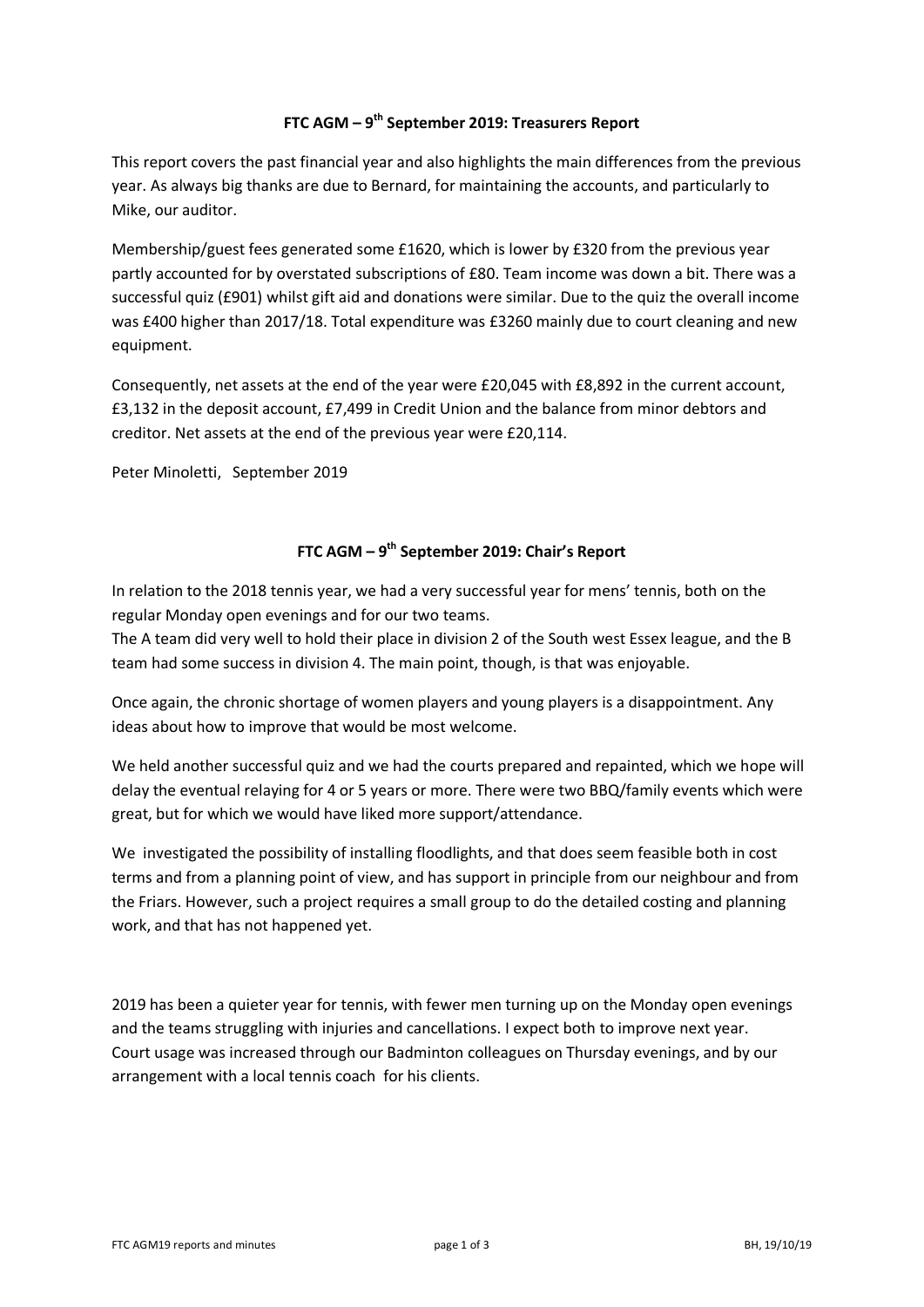### **FTC AGM – 9 th September 2019: Treasurers Report**

This report covers the past financial year and also highlights the main differences from the previous year. As always big thanks are due to Bernard, for maintaining the accounts, and particularly to Mike, our auditor.

Membership/guest fees generated some £1620, which is lower by £320 from the previous year partly accounted for by overstated subscriptions of £80. Team income was down a bit. There was a successful quiz (£901) whilst gift aid and donations were similar. Due to the quiz the overall income was £400 higher than 2017/18. Total expenditure was £3260 mainly due to court cleaning and new equipment.

Consequently, net assets at the end of the year were £20,045 with £8,892 in the current account, £3,132 in the deposit account, £7,499 in Credit Union and the balance from minor debtors and creditor. Net assets at the end of the previous year were £20,114.

Peter Minoletti, September 2019

## **FTC AGM – 9 th September 2019: Chair's Report**

In relation to the 2018 tennis year, we had a very successful year for mens' tennis, both on the regular Monday open evenings and for our two teams.

The A team did very well to hold their place in division 2 of the South west Essex league, and the B team had some success in division 4. The main point, though, is that was enjoyable.

Once again, the chronic shortage of women players and young players is a disappointment. Any ideas about how to improve that would be most welcome.

We held another successful quiz and we had the courts prepared and repainted, which we hope will delay the eventual relaying for 4 or 5 years or more. There were two BBQ/family events which were great, but for which we would have liked more support/attendance.

We investigated the possibility of installing floodlights, and that does seem feasible both in cost terms and from a planning point of view, and has support in principle from our neighbour and from the Friars. However, such a project requires a small group to do the detailed costing and planning work, and that has not happened yet.

2019 has been a quieter year for tennis, with fewer men turning up on the Monday open evenings and the teams struggling with injuries and cancellations. I expect both to improve next year. Court usage was increased through our Badminton colleagues on Thursday evenings, and by our arrangement with a local tennis coach for his clients.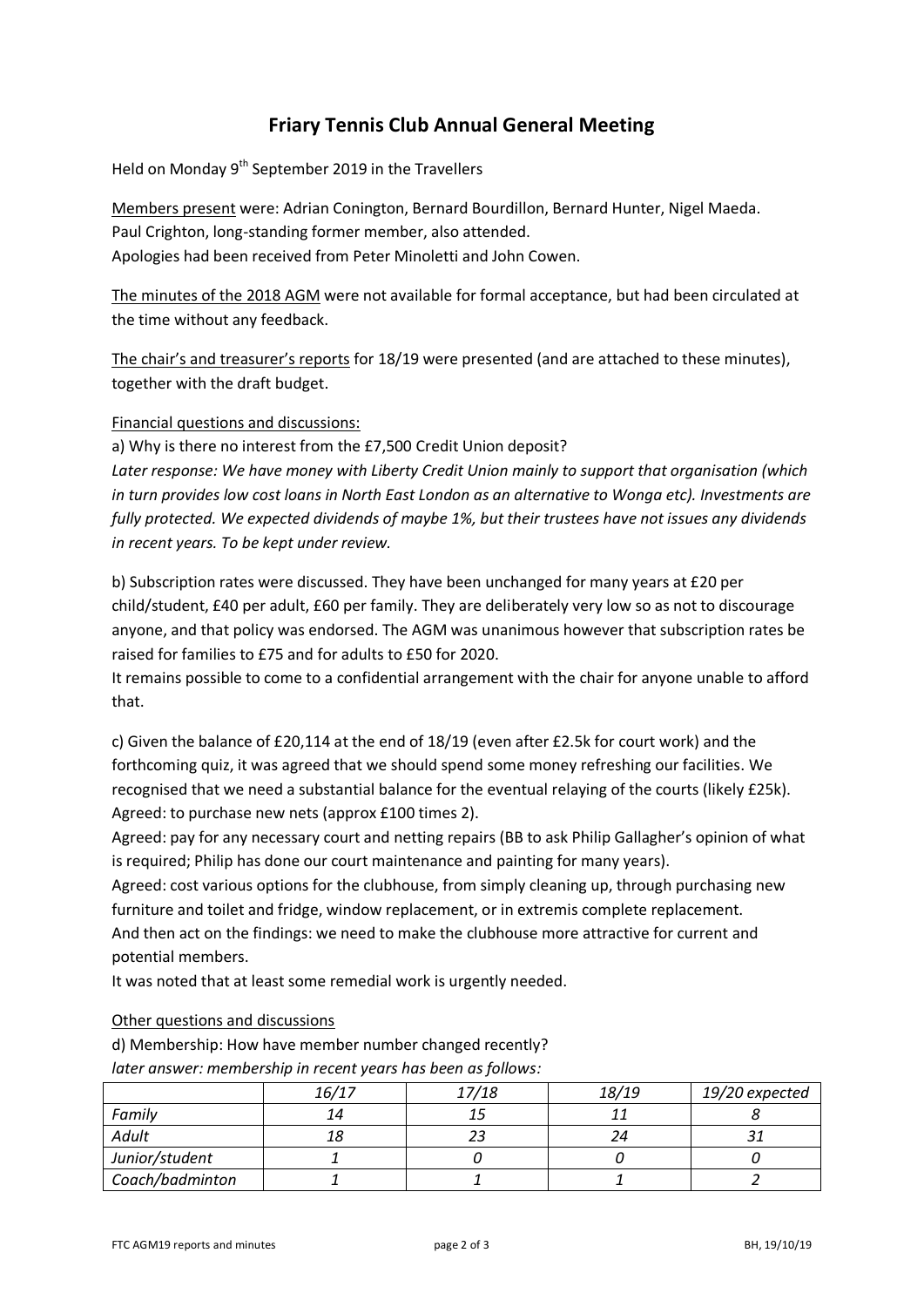# **Friary Tennis Club Annual General Meeting**

Held on Monday  $9<sup>th</sup>$  September 2019 in the Travellers

Members present were: Adrian Conington, Bernard Bourdillon, Bernard Hunter, Nigel Maeda. Paul Crighton, long-standing former member, also attended. Apologies had been received from Peter Minoletti and John Cowen.

The minutes of the 2018 AGM were not available for formal acceptance, but had been circulated at the time without any feedback.

The chair's and treasurer's reports for 18/19 were presented (and are attached to these minutes), together with the draft budget.

### Financial questions and discussions:

a) Why is there no interest from the £7,500 Credit Union deposit?

*Later response: We have money with Liberty Credit Union mainly to support that organisation (which in turn provides low cost loans in North East London as an alternative to Wonga etc). Investments are fully protected. We expected dividends of maybe 1%, but their trustees have not issues any dividends in recent years. To be kept under review.*

b) Subscription rates were discussed. They have been unchanged for many years at £20 per child/student, £40 per adult, £60 per family. They are deliberately very low so as not to discourage anyone, and that policy was endorsed. The AGM was unanimous however that subscription rates be raised for families to £75 and for adults to £50 for 2020.

It remains possible to come to a confidential arrangement with the chair for anyone unable to afford that.

c) Given the balance of £20,114 at the end of 18/19 (even after £2.5k for court work) and the forthcoming quiz, it was agreed that we should spend some money refreshing our facilities. We recognised that we need a substantial balance for the eventual relaying of the courts (likely £25k). Agreed: to purchase new nets (approx £100 times 2).

Agreed: pay for any necessary court and netting repairs (BB to ask Philip Gallagher's opinion of what is required; Philip has done our court maintenance and painting for many years).

Agreed: cost various options for the clubhouse, from simply cleaning up, through purchasing new furniture and toilet and fridge, window replacement, or in extremis complete replacement. And then act on the findings: we need to make the clubhouse more attractive for current and potential members.

It was noted that at least some remedial work is urgently needed.

### Other questions and discussions

d) Membership: How have member number changed recently?

| later answer: membership in recent years has been as follows: |  |
|---------------------------------------------------------------|--|
|---------------------------------------------------------------|--|

|                 | 16/17 | 17/18 | 18/19 | 19/20 expected |
|-----------------|-------|-------|-------|----------------|
| Family          | 14    |       |       |                |
| Adult           | 18    |       |       |                |
| Junior/student  |       |       |       |                |
| Coach/badminton |       |       |       |                |